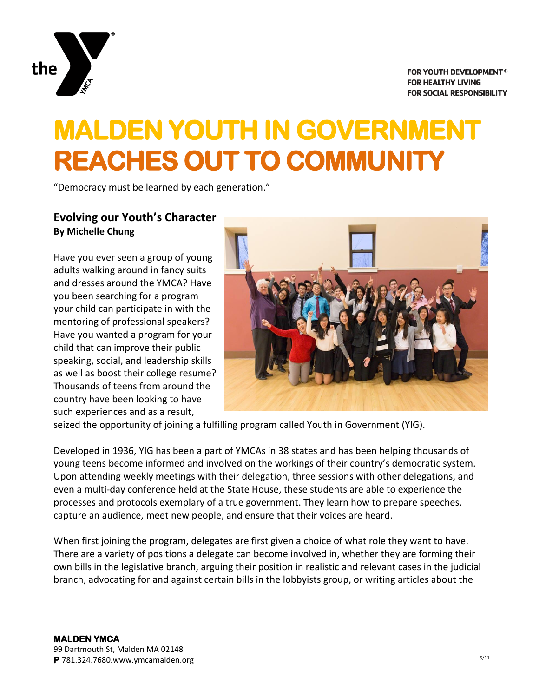

# **MALDEN YOUTH IN GOVERNMENT REACHES OUT TO COMMUNITY**

"Democracy must be learned by each generation."

## **Evolving our Youth's Character By Michelle Chung**

Have you ever seen a group of young adults walking around in fancy suits and dresses around the YMCA? Have you been searching for a program your child can participate in with the mentoring of professional speakers? Have you wanted a program for your child that can improve their public speaking, social, and leadership skills as well as boost their college resume? Thousands of teens from around the country have been looking to have such experiences and as a result,



seized the opportunity of joining a fulfilling program called Youth in Government (YIG).

Developed in 1936, YIG has been a part of YMCAs in 38 states and has been helping thousands of young teens become informed and involved on the workings of their country's democratic system. Upon attending weekly meetings with their delegation, three sessions with other delegations, and even a multi-day conference held at the State House, these students are able to experience the processes and protocols exemplary of a true government. They learn how to prepare speeches, capture an audience, meet new people, and ensure that their voices are heard.

When first joining the program, delegates are first given a choice of what role they want to have. There are a variety of positions a delegate can become involved in, whether they are forming their own bills in the legislative branch, arguing their position in realistic and relevant cases in the judicial branch, advocating for and against certain bills in the lobbyists group, or writing articles about the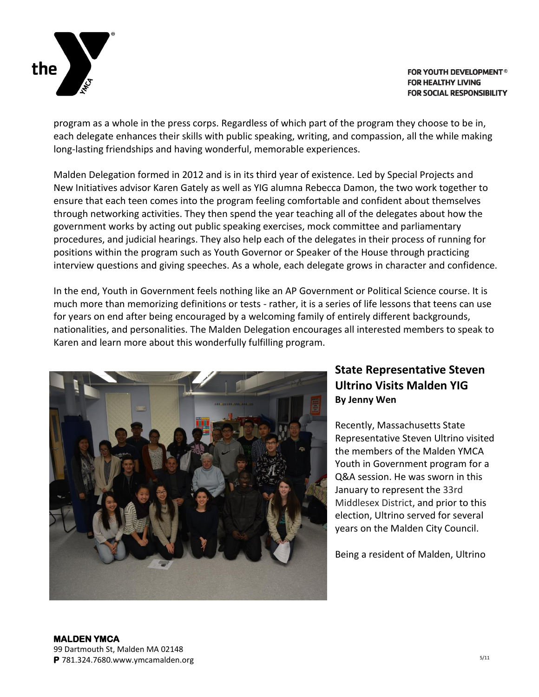

program as a whole in the press corps. Regardless of which part of the program they choose to be in, each delegate enhances their skills with public speaking, writing, and compassion, all the while making long-lasting friendships and having wonderful, memorable experiences.

Malden Delegation formed in 2012 and is in its third year of existence. Led by Special Projects and New Initiatives advisor Karen Gately as well as YIG alumna Rebecca Damon, the two work together to ensure that each teen comes into the program feeling comfortable and confident about themselves through networking activities. They then spend the year teaching all of the delegates about how the government works by acting out public speaking exercises, mock committee and parliamentary procedures, and judicial hearings. They also help each of the delegates in their process of running for positions within the program such as Youth Governor or Speaker of the House through practicing interview questions and giving speeches. As a whole, each delegate grows in character and confidence.

In the end, Youth in Government feels nothing like an AP Government or Political Science course. It is much more than memorizing definitions or tests - rather, it is a series of life lessons that teens can use for years on end after being encouraged by a welcoming family of entirely different backgrounds, nationalities, and personalities. The Malden Delegation encourages all interested members to speak to Karen and learn more about this wonderfully fulfilling program.



## **State Representative Steven Ultrino Visits Malden YIG By Jenny Wen**

Recently, Massachusetts State Representative Steven Ultrino visited the members of the Malden YMCA Youth in Government program for a Q&A session. He was sworn in this January to represent the 33rd Middlesex District, and prior to this election, Ultrino served for several years on the Malden City Council.

Being a resident of Malden, Ultrino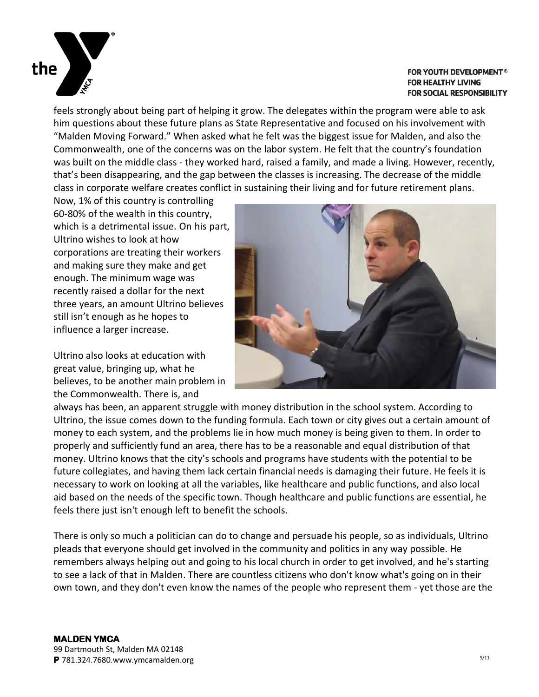

feels strongly about being part of helping it grow. The delegates within the program were able to ask him questions about these future plans as State Representative and focused on his involvement with "Malden Moving Forward." When asked what he felt was the biggest issue for Malden, and also the Commonwealth, one of the concerns was on the labor system. He felt that the country's foundation was built on the middle class - they worked hard, raised a family, and made a living. However, recently, that's been disappearing, and the gap between the classes is increasing. The decrease of the middle class in corporate welfare creates conflict in sustaining their living and for future retirement plans.

Now, 1% of this country is controlling 60-80% of the wealth in this country, which is a detrimental issue. On his part, Ultrino wishes to look at how corporations are treating their workers and making sure they make and get enough. The minimum wage was recently raised a dollar for the next three years, an amount Ultrino believes still isn't enough as he hopes to influence a larger increase.

Ultrino also looks at education with great value, bringing up, what he believes, to be another main problem in the Commonwealth. There is, and



always has been, an apparent struggle with money distribution in the school system. According to Ultrino, the issue comes down to the funding formula. Each town or city gives out a certain amount of money to each system, and the problems lie in how much money is being given to them. In order to properly and sufficiently fund an area, there has to be a reasonable and equal distribution of that money. Ultrino knows that the city's schools and programs have students with the potential to be future collegiates, and having them lack certain financial needs is damaging their future. He feels it is necessary to work on looking at all the variables, like healthcare and public functions, and also local aid based on the needs of the specific town. Though healthcare and public functions are essential, he feels there just isn't enough left to benefit the schools.

There is only so much a politician can do to change and persuade his people, so as individuals, Ultrino pleads that everyone should get involved in the community and politics in any way possible. He remembers always helping out and going to his local church in order to get involved, and he's starting to see a lack of that in Malden. There are countless citizens who don't know what's going on in their own town, and they don't even know the names of the people who represent them - yet those are the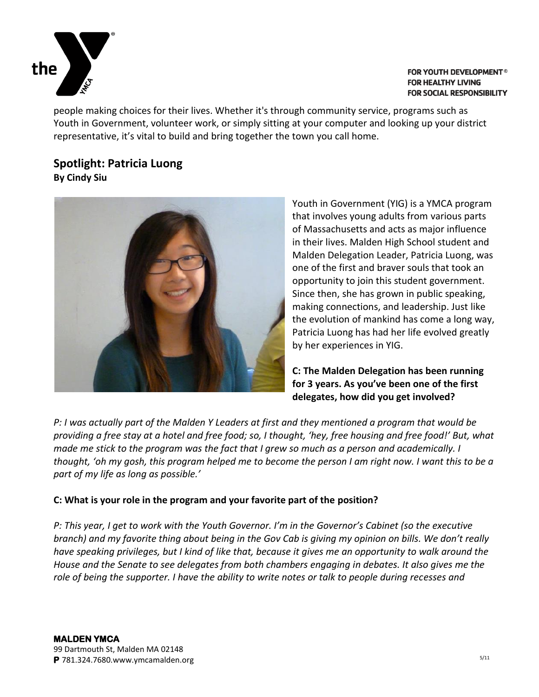

people making choices for their lives. Whether it's through community service, programs such as Youth in Government, volunteer work, or simply sitting at your computer and looking up your district representative, it's vital to build and bring together the town you call home.

## **Spotlight: Patricia Luong By Cindy Siu**



Youth in Government (YIG) is a YMCA program that involves young adults from various parts of Massachusetts and acts as major influence in their lives. Malden High School student and Malden Delegation Leader, Patricia Luong, was one of the first and braver souls that took an opportunity to join this student government. Since then, she has grown in public speaking, making connections, and leadership. Just like the evolution of mankind has come a long way, Patricia Luong has had her life evolved greatly by her experiences in YIG.

**C: The Malden Delegation has been running for 3 years. As you've been one of the first delegates, how did you get involved?**

*P: I was actually part of the Malden Y Leaders at first and they mentioned a program that would be providing a free stay at a hotel and free food; so, I thought, 'hey, free housing and free food!' But, what made me stick to the program was the fact that I grew so much as a person and academically. I thought, 'oh my gosh, this program helped me to become the person I am right now. I want this to be a part of my life as long as possible.'* 

### **C: What is your role in the program and your favorite part of the position?**

*P: This year, I get to work with the Youth Governor. I'm in the Governor's Cabinet (so the executive branch) and my favorite thing about being in the Gov Cab is giving my opinion on bills. We don't really have speaking privileges, but I kind of like that, because it gives me an opportunity to walk around the House and the Senate to see delegates from both chambers engaging in debates. It also gives me the role of being the supporter. I have the ability to write notes or talk to people during recesses and*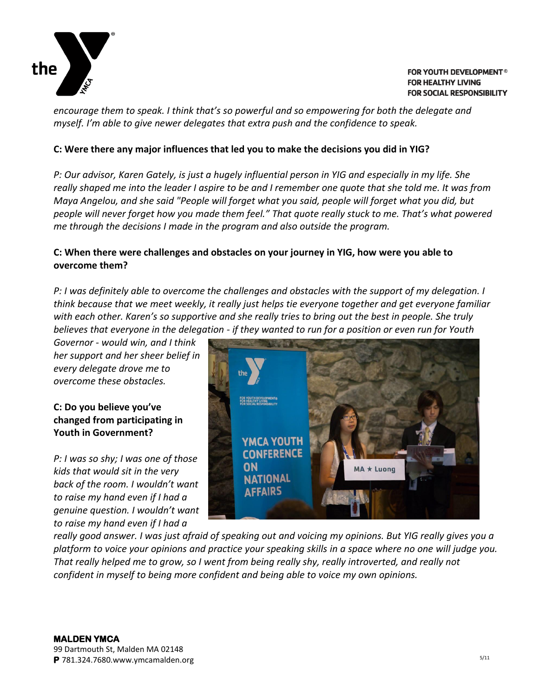

*encourage them to speak. I think that's so powerful and so empowering for both the delegate and myself. I'm able to give newer delegates that extra push and the confidence to speak.*

#### **C: Were there any major influences that led you to make the decisions you did in YIG?**

*P: Our advisor, Karen Gately, is just a hugely influential person in YIG and especially in my life. She really shaped me into the leader I aspire to be and I remember one quote that she told me. It was from Maya Angelou, and she said "People will forget what you said, people will forget what you did, but people will never forget how you made them feel." That quote really stuck to me. That's what powered me through the decisions I made in the program and also outside the program.* 

### **C: When there were challenges and obstacles on your journey in YIG, how were you able to overcome them?**

*P: I was definitely able to overcome the challenges and obstacles with the support of my delegation. I think because that we meet weekly, it really just helps tie everyone together and get everyone familiar with each other. Karen's so supportive and she really tries to bring out the best in people. She truly believes that everyone in the delegation - if they wanted to run for a position or even run for Youth* 

*Governor - would win, and I think her support and her sheer belief in every delegate drove me to overcome these obstacles.* 

#### **C: Do you believe you've changed from participating in Youth in Government?**

*P: I was so shy; I was one of those kids that would sit in the very back of the room. I wouldn't want to raise my hand even if I had a genuine question. I wouldn't want to raise my hand even if I had a* 



*really good answer. I was just afraid of speaking out and voicing my opinions. But YIG really gives you a platform to voice your opinions and practice your speaking skills in a space where no one will judge you. That really helped me to grow, so I went from being really shy, really introverted, and really not confident in myself to being more confident and being able to voice my own opinions.*